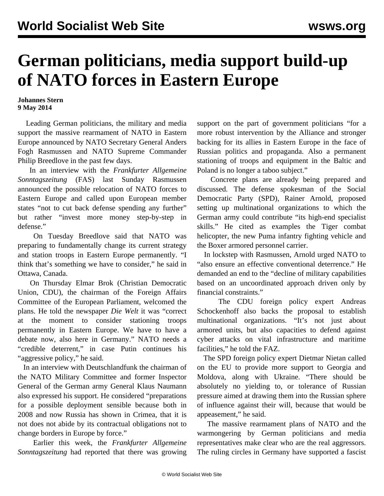## **German politicians, media support build-up of NATO forces in Eastern Europe**

## **Johannes Stern 9 May 2014**

 Leading German politicians, the military and media support the massive rearmament of NATO in Eastern Europe announced by NATO Secretary General Anders Fogh Rasmussen and NATO Supreme Commander Philip Breedlove in the past few days.

 In an interview with the *Frankfurter Allgemeine Sonntagszeitung* (FAS) last Sunday Rasmussen announced the possible relocation of NATO forces to Eastern Europe and called upon European member states "not to cut back defense spending any further" but rather "invest more money step-by-step in defense."

 On Tuesday Breedlove said that NATO was preparing to fundamentally change its current strategy and station troops in Eastern Europe permanently. "I think that's something we have to consider," he said in Ottawa, Canada.

 On Thursday Elmar Brok (Christian Democratic Union, CDU), the chairman of the Foreign Affairs Committee of the European Parliament, welcomed the plans. He told the newspaper *Die Welt* it was "correct at the moment to consider stationing troops permanently in Eastern Europe. We have to have a debate now, also here in Germany." NATO needs a "credible deterrent," in case Putin continues his "aggressive policy," he said.

 In an interview with Deutschlandfunk the chairman of the NATO Military Committee and former Inspector General of the German army General Klaus Naumann also expressed his support. He considered "preparations for a possible deployment sensible because both in 2008 and now Russia has shown in Crimea, that it is not does not abide by its contractual obligations not to change borders in Europe by force."

 Earlier this week, the *Frankfurter Allgemeine Sonntagszeitung* had reported that there was growing support on the part of government politicians "for a more robust intervention by the Alliance and stronger backing for its allies in Eastern Europe in the face of Russian politics and propaganda. Also a permanent stationing of troops and equipment in the Baltic and Poland is no longer a taboo subject."

 Concrete plans are already being prepared and discussed. The defense spokesman of the Social Democratic Party (SPD), Rainer Arnold, proposed setting up multinational organizations to which the German army could contribute "its high-end specialist skills." He cited as examples the Tiger combat helicopter, the new Puma infantry fighting vehicle and the Boxer armored personnel carrier.

 In lockstep with Rasmussen, Arnold urged NATO to "also ensure an effective conventional deterrence." He demanded an end to the "decline of military capabilities based on an uncoordinated approach driven only by financial constraints."

 The CDU foreign policy expert Andreas Schockenhoff also backs the proposal to establish multinational organizations. "It's not just about armored units, but also capacities to defend against cyber attacks on vital infrastructure and maritime facilities," he told the FAZ.

 The SPD foreign policy expert Dietmar Nietan called on the EU to provide more support to Georgia and Moldova, along with Ukraine. "There should be absolutely no yielding to, or tolerance of Russian pressure aimed at drawing them into the Russian sphere of influence against their will, because that would be appeasement," he said.

 The massive rearmament plans of NATO and the warmongering by German politicians and media representatives make clear who are the real aggressors. The ruling circles in Germany have supported a fascist